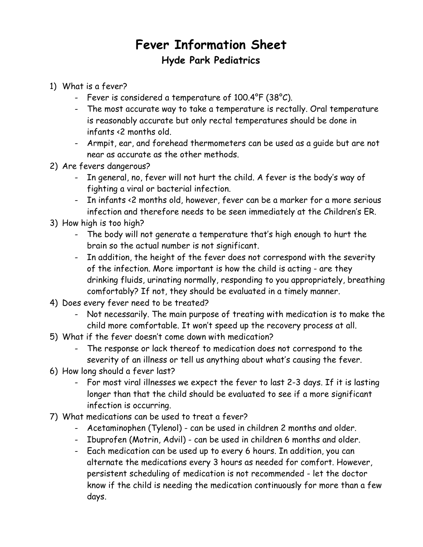## **Fever Information Sheet Hyde Park Pediatrics**

- 1) What is a fever?
	- Fever is considered a temperature of 100.4°F (38°C).
	- The most accurate way to take a temperature is rectally. Oral temperature is reasonably accurate but only rectal temperatures should be done in infants <2 months old.
	- Armpit, ear, and forehead thermometers can be used as a guide but are not near as accurate as the other methods.
- 2) Are fevers dangerous?
	- In general, no, fever will not hurt the child. A fever is the body's way of fighting a viral or bacterial infection.
	- In infants <2 months old, however, fever can be a marker for a more serious infection and therefore needs to be seen immediately at the Children's ER.
- 3) How high is too high?
	- The body will not generate a temperature that's high enough to hurt the brain so the actual number is not significant.
	- In addition, the height of the fever does not correspond with the severity of the infection. More important is how the child is acting - are they drinking fluids, urinating normally, responding to you appropriately, breathing comfortably? If not, they should be evaluated in a timely manner.
- 4) Does every fever need to be treated?
	- Not necessarily. The main purpose of treating with medication is to make the child more comfortable. It won't speed up the recovery process at all.
- 5) What if the fever doesn't come down with medication?
	- The response or lack thereof to medication does not correspond to the severity of an illness or tell us anything about what's causing the fever.
- 6) How long should a fever last?
	- For most viral illnesses we expect the fever to last 2-3 days. If it is lasting longer than that the child should be evaluated to see if a more significant infection is occurring.
- 7) What medications can be used to treat a fever?
	- Acetaminophen (Tylenol) can be used in children 2 months and older.
	- Ibuprofen (Motrin, Advil) can be used in children 6 months and older.
	- Each medication can be used up to every 6 hours. In addition, you can alternate the medications every 3 hours as needed for comfort. However, persistent scheduling of medication is not recommended - let the doctor know if the child is needing the medication continuously for more than a few days.